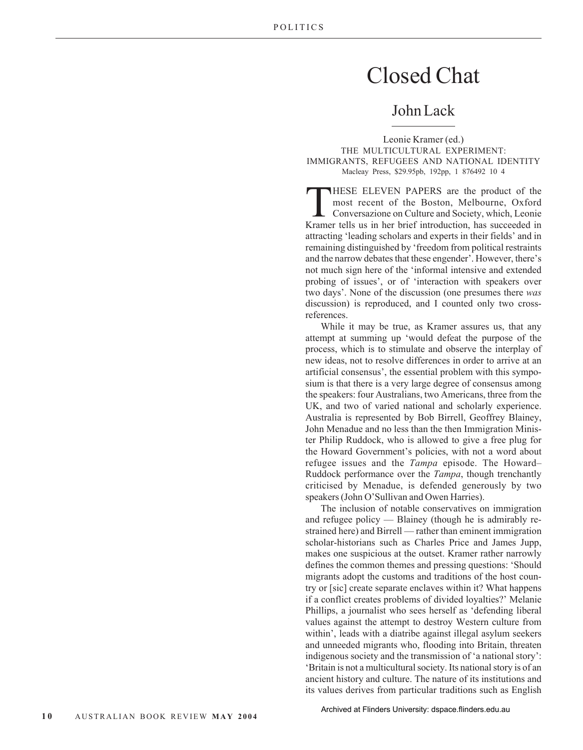## Closed Chat

## John Lack

Leonie Kramer (ed.) THE MULTICULTURAL EXPERIMENT: IMMIGRANTS, REFUGEES AND NATIONAL IDENTITY Macleay Press, \$29.95pb, 192pp, 1 876492 10 4

THESE ELEVEN PAPERS are the product of the<br>
most recent of the Boston, Melbourne, Oxford<br>
Conversazione on Culture and Society, which, Leonie<br>
Kramer tells us in her brief introduction, has succeeded in most recent of the Boston, Melbourne, Oxford Kramer tells us in her brief introduction, has succeeded in attracting 'leading scholars and experts in their fields' and in remaining distinguished by 'freedom from political restraints and the narrow debates that these engender'. However, there's not much sign here of the 'informal intensive and extended probing of issues', or of 'interaction with speakers over two days'. None of the discussion (one presumes there *was* discussion) is reproduced, and I counted only two crossreferences.

While it may be true, as Kramer assures us, that any attempt at summing up 'would defeat the purpose of the process, which is to stimulate and observe the interplay of new ideas, not to resolve differences in order to arrive at an artificial consensus', the essential problem with this symposium is that there is a very large degree of consensus among the speakers: four Australians, two Americans, three from the UK, and two of varied national and scholarly experience. Australia is represented by Bob Birrell, Geoffrey Blainey, John Menadue and no less than the then Immigration Minister Philip Ruddock, who is allowed to give a free plug for the Howard Government's policies, with not a word about refugee issues and the *Tampa* episode. The Howard– Ruddock performance over the *Tampa*, though trenchantly criticised by Menadue, is defended generously by two speakers (John O'Sullivan and Owen Harries).

The inclusion of notable conservatives on immigration and refugee policy — Blainey (though he is admirably restrained here) and Birrell — rather than eminent immigration scholar-historians such as Charles Price and James Jupp, makes one suspicious at the outset. Kramer rather narrowly defines the common themes and pressing questions: 'Should migrants adopt the customs and traditions of the host country or [sic] create separate enclaves within it? What happens if a conflict creates problems of divided loyalties?' Melanie Phillips, a journalist who sees herself as 'defending liberal values against the attempt to destroy Western culture from within', leads with a diatribe against illegal asylum seekers and unneeded migrants who, flooding into Britain, threaten indigenous society and the transmission of 'a national story': 'Britain is not a multicultural society. Its national story is of an ancient history and culture. The nature of its institutions and its values derives from particular traditions such as English